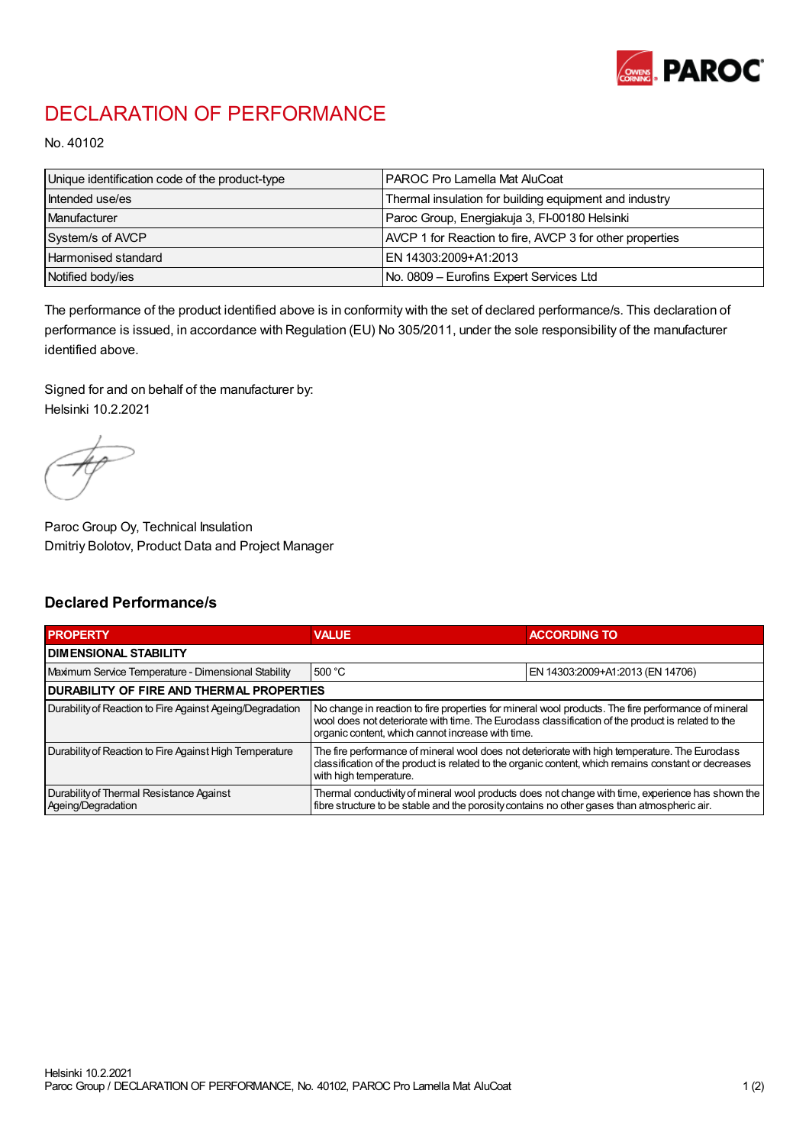

## DECLARATION OF PERFORMANCE

No. 40102

| Unique identification code of the product-type | I PAROC Pro Lamella Mat AluCoat                          |
|------------------------------------------------|----------------------------------------------------------|
| Intended use/es                                | Thermal insulation for building equipment and industry   |
| Manufacturer                                   | Paroc Group, Energiakuja 3, FI-00180 Helsinki            |
| System/s of AVCP                               | AVCP 1 for Reaction to fire, AVCP 3 for other properties |
| Harmonised standard                            | IEN 14303:2009+A1:2013                                   |
| Notified body/ies                              | No. 0809 - Eurofins Expert Services Ltd                  |

The performance of the product identified above is in conformity with the set of declared performance/s. This declaration of performance is issued, in accordance with Regulation (EU) No 305/2011, under the sole responsibility of the manufacturer identified above.

Signed for and on behalf of the manufacturer by: Helsinki 10.2.2021

Paroc Group Oy, Technical Insulation Dmitriy Bolotov, Product Data and Project Manager

## Declared Performance/s

| <b>PROPERTY</b>                                                | <b>VALUE</b>                                                                                                                                                                                                                                                   | <b>ACCORDING TO</b>              |  |
|----------------------------------------------------------------|----------------------------------------------------------------------------------------------------------------------------------------------------------------------------------------------------------------------------------------------------------------|----------------------------------|--|
| <b>DIMENSIONAL STABILITY</b>                                   |                                                                                                                                                                                                                                                                |                                  |  |
| Maximum Service Temperature - Dimensional Stability            | 500 °C                                                                                                                                                                                                                                                         | EN 14303:2009+A1:2013 (EN 14706) |  |
| <b>DURABILITY OF FIRE AND THERMAL PROPERTIES</b>               |                                                                                                                                                                                                                                                                |                                  |  |
| Durability of Reaction to Fire Against Ageing/Degradation      | No change in reaction to fire properties for mineral wool products. The fire performance of mineral<br>wool does not deteriorate with time. The Euroclass classification of the product is related to the<br>organic content, which cannot increase with time. |                                  |  |
| Durability of Reaction to Fire Against High Temperature        | The fire performance of mineral wool does not deteriorate with high temperature. The Euroclass<br>classification of the product is related to the organic content, which remains constant or decreases<br>with high temperature.                               |                                  |  |
| Durability of Thermal Resistance Against<br>Ageing/Degradation | Thermal conductivity of mineral wool products does not change with time, experience has shown the<br>fibre structure to be stable and the porosity contains no other gases than atmospheric air.                                                               |                                  |  |